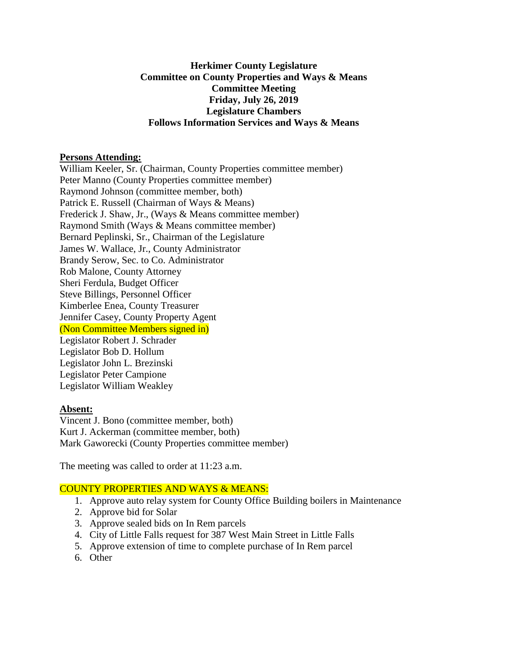## **Herkimer County Legislature Committee on County Properties and Ways & Means Committee Meeting Friday, July 26, 2019 Legislature Chambers Follows Information Services and Ways & Means**

### **Persons Attending:**

William Keeler, Sr. (Chairman, County Properties committee member) Peter Manno (County Properties committee member) Raymond Johnson (committee member, both) Patrick E. Russell (Chairman of Ways & Means) Frederick J. Shaw, Jr., (Ways & Means committee member) Raymond Smith (Ways & Means committee member) Bernard Peplinski, Sr., Chairman of the Legislature James W. Wallace, Jr., County Administrator Brandy Serow, Sec. to Co. Administrator Rob Malone, County Attorney Sheri Ferdula, Budget Officer Steve Billings, Personnel Officer Kimberlee Enea, County Treasurer Jennifer Casey, County Property Agent (Non Committee Members signed in) Legislator Robert J. Schrader Legislator Bob D. Hollum Legislator John L. Brezinski Legislator Peter Campione Legislator William Weakley

### **Absent:**

Vincent J. Bono (committee member, both) Kurt J. Ackerman (committee member, both) Mark Gaworecki (County Properties committee member)

The meeting was called to order at 11:23 a.m.

# COUNTY PROPERTIES AND WAYS & MEANS:

- 1. Approve auto relay system for County Office Building boilers in Maintenance
- 2. Approve bid for Solar
- 3. Approve sealed bids on In Rem parcels
- 4. City of Little Falls request for 387 West Main Street in Little Falls
- 5. Approve extension of time to complete purchase of In Rem parcel
- 6. Other